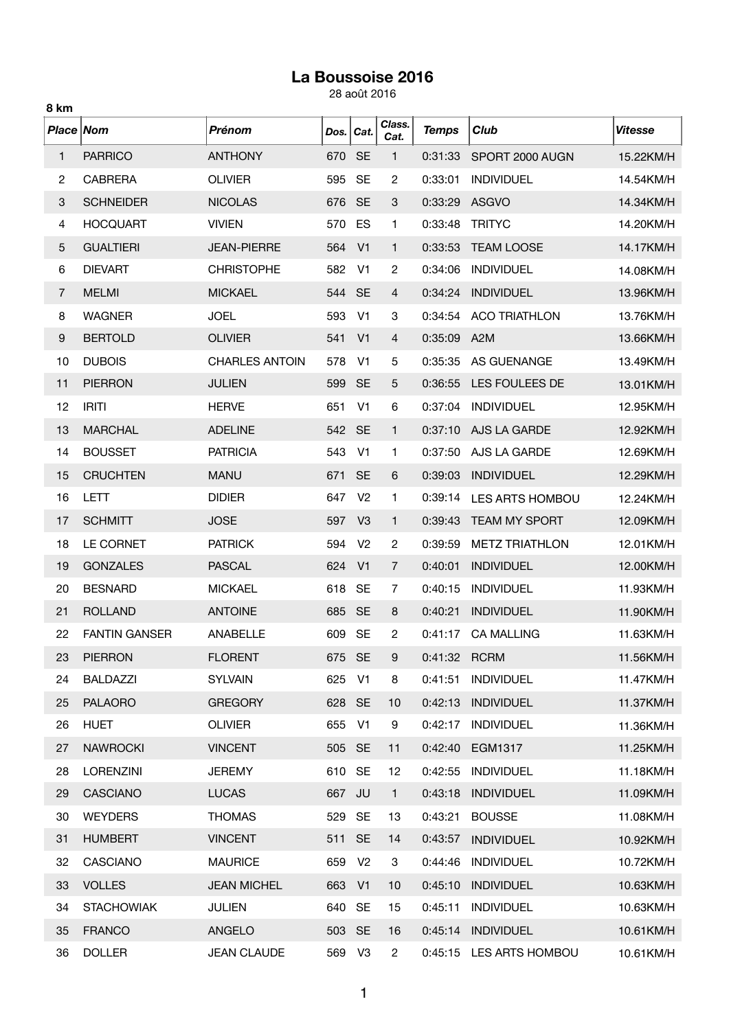## **La Boussoise 2016**

28 août 2016

| 8 km             |                      |                       |        |                |                |              |                        |                |
|------------------|----------------------|-----------------------|--------|----------------|----------------|--------------|------------------------|----------------|
| Place Nom        |                      | Prénom                | Dos.   | Cat.           | Class.<br>Cat. | <b>Temps</b> | Club                   | <b>Vitesse</b> |
| 1                | <b>PARRICO</b>       | <b>ANTHONY</b>        | 670    | <b>SE</b>      | 1              | 0:31:33      | SPORT 2000 AUGN        | 15.22KM/H      |
| $\overline{c}$   | <b>CABRERA</b>       | <b>OLIVIER</b>        | 595    | <b>SE</b>      | $\overline{c}$ | 0:33:01      | <b>INDIVIDUEL</b>      | 14.54KM/H      |
| 3                | <b>SCHNEIDER</b>     | <b>NICOLAS</b>        | 676    | <b>SE</b>      | 3              | 0:33:29      | <b>ASGVO</b>           | 14.34KM/H      |
| 4                | <b>HOCQUART</b>      | <b>VIVIEN</b>         | 570    | ES             | 1              | 0:33:48      | <b>TRITYC</b>          | 14.20KM/H      |
| 5                | <b>GUALTIERI</b>     | <b>JEAN-PIERRE</b>    | 564    | V <sub>1</sub> | 1              | 0:33:53      | <b>TEAM LOOSE</b>      | 14.17KM/H      |
| 6                | <b>DIEVART</b>       | <b>CHRISTOPHE</b>     | 582    | V <sub>1</sub> | 2              | 0:34:06      | <b>INDIVIDUEL</b>      | 14.08KM/H      |
| 7                | <b>MELMI</b>         | <b>MICKAEL</b>        | 544    | <b>SE</b>      | 4              | 0:34:24      | <b>INDIVIDUEL</b>      | 13.96KM/H      |
| 8                | <b>WAGNER</b>        | <b>JOEL</b>           | 593    | V <sub>1</sub> | 3              | 0:34:54      | <b>ACO TRIATHLON</b>   | 13.76KM/H      |
| $\boldsymbol{9}$ | <b>BERTOLD</b>       | <b>OLIVIER</b>        | 541    | V <sub>1</sub> | 4              | 0:35:09      | A <sub>2</sub> M       | 13.66KM/H      |
| 10               | <b>DUBOIS</b>        | <b>CHARLES ANTOIN</b> | 578    | V <sub>1</sub> | 5              | 0:35:35      | AS GUENANGE            | 13.49KM/H      |
| 11               | <b>PIERRON</b>       | <b>JULIEN</b>         | 599    | <b>SE</b>      | 5              | 0:36:55      | LES FOULEES DE         | 13.01KM/H      |
| 12               | <b>IRITI</b>         | <b>HERVE</b>          | 651    | V <sub>1</sub> | 6              | 0:37:04      | <b>INDIVIDUEL</b>      | 12.95KM/H      |
| 13               | <b>MARCHAL</b>       | <b>ADELINE</b>        | 542    | <b>SE</b>      | 1              | 0:37:10      | AJS LA GARDE           | 12.92KM/H      |
| 14               | <b>BOUSSET</b>       | <b>PATRICIA</b>       | 543    | V <sub>1</sub> | 1              | 0:37:50      | AJS LA GARDE           | 12.69KM/H      |
| 15               | <b>CRUCHTEN</b>      | <b>MANU</b>           | 671    | <b>SE</b>      | 6              | 0:39:03      | <b>INDIVIDUEL</b>      | 12.29KM/H      |
| 16               | LETT                 | <b>DIDIER</b>         | 647    | V <sub>2</sub> | 1              | 0:39:14      | <b>LES ARTS HOMBOU</b> | 12.24KM/H      |
| 17               | <b>SCHMITT</b>       | <b>JOSE</b>           | 597    | V <sub>3</sub> | 1              | 0:39:43      | <b>TEAM MY SPORT</b>   | 12.09KM/H      |
| 18               | LE CORNET            | <b>PATRICK</b>        | 594    | V <sub>2</sub> | 2              | 0:39:59      | <b>METZ TRIATHLON</b>  | 12.01KM/H      |
| 19               | <b>GONZALES</b>      | <b>PASCAL</b>         | 624    | V <sub>1</sub> | $\overline{7}$ | 0:40:01      | <b>INDIVIDUEL</b>      | 12.00KM/H      |
| 20               | <b>BESNARD</b>       | <b>MICKAEL</b>        | 618    | <b>SE</b>      | 7              | 0:40:15      | <b>INDIVIDUEL</b>      | 11.93KM/H      |
| 21               | <b>ROLLAND</b>       | <b>ANTOINE</b>        | 685    | <b>SE</b>      | 8              | 0:40:21      | <b>INDIVIDUEL</b>      | 11.90KM/H      |
| 22               | <b>FANTIN GANSER</b> | ANABELLE              | 609    | <b>SE</b>      | 2              | 0:41:17      | <b>CA MALLING</b>      | 11.63KM/H      |
| 23               | <b>PIERRON</b>       | <b>FLORENT</b>        | 675 SE |                | 9              | 0:41:32 RCRM |                        | 11.56KM/H      |
| 24               | <b>BALDAZZI</b>      | <b>SYLVAIN</b>        | 625    | V <sub>1</sub> | 8              | 0:41:51      | <b>INDIVIDUEL</b>      | 11.47KM/H      |
| 25               | <b>PALAORO</b>       | <b>GREGORY</b>        | 628    | <b>SE</b>      | 10             | 0:42:13      | <b>INDIVIDUEL</b>      | 11.37KM/H      |
| 26               | <b>HUET</b>          | <b>OLIVIER</b>        | 655    | V <sub>1</sub> | 9              | 0:42:17      | <b>INDIVIDUEL</b>      | 11.36KM/H      |
| 27               | <b>NAWROCKI</b>      | <b>VINCENT</b>        | 505 SE |                | 11             | 0:42:40      | EGM1317                | 11.25KM/H      |
| 28               | <b>LORENZINI</b>     | <b>JEREMY</b>         | 610    | <b>SE</b>      | 12             | 0:42:55      | <b>INDIVIDUEL</b>      | 11.18KM/H      |
| 29               | <b>CASCIANO</b>      | <b>LUCAS</b>          | 667    | JU             | $\mathbf{1}$   | 0:43:18      | <b>INDIVIDUEL</b>      | 11.09KM/H      |
| 30               | <b>WEYDERS</b>       | <b>THOMAS</b>         | 529    | <b>SE</b>      | 13             | 0:43:21      | <b>BOUSSE</b>          | 11.08KM/H      |
| 31               | <b>HUMBERT</b>       | <b>VINCENT</b>        | 511    | <b>SE</b>      | 14             | 0:43:57      | <b>INDIVIDUEL</b>      | 10.92KM/H      |
| 32               | CASCIANO             | <b>MAURICE</b>        | 659    | V <sub>2</sub> | 3              | 0:44:46      | <b>INDIVIDUEL</b>      | 10.72KM/H      |
| 33               | <b>VOLLES</b>        | <b>JEAN MICHEL</b>    | 663    | V <sub>1</sub> | 10             | 0:45:10      | <b>INDIVIDUEL</b>      | 10.63KM/H      |
| 34               | <b>STACHOWIAK</b>    | <b>JULIEN</b>         | 640    | <b>SE</b>      | 15             | 0:45:11      | <b>INDIVIDUEL</b>      | 10.63KM/H      |
| 35               | <b>FRANCO</b>        | ANGELO                | 503 SE |                | 16             | 0:45:14      | <b>INDIVIDUEL</b>      | 10.61KM/H      |
| 36               | <b>DOLLER</b>        | <b>JEAN CLAUDE</b>    | 569    | V <sub>3</sub> | $\overline{2}$ | 0:45:15      | LES ARTS HOMBOU        | 10.61KM/H      |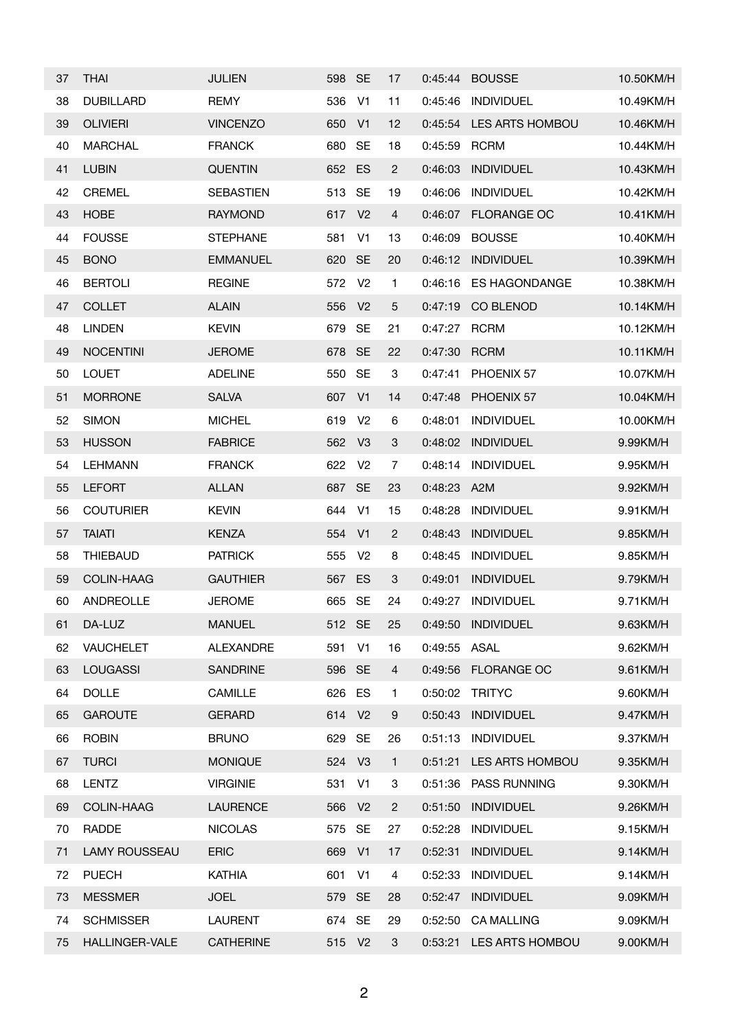| 37 | <b>THAI</b>          | <b>JULIEN</b>    | 598 SE |                | 17             | 0:45:44 | <b>BOUSSE</b>        | 10.50KM/H |
|----|----------------------|------------------|--------|----------------|----------------|---------|----------------------|-----------|
| 38 | <b>DUBILLARD</b>     | <b>REMY</b>      | 536    | V <sub>1</sub> | 11             | 0:45:46 | <b>INDIVIDUEL</b>    | 10.49KM/H |
| 39 | <b>OLIVIERI</b>      | <b>VINCENZO</b>  | 650    | V <sub>1</sub> | 12             | 0:45:54 | LES ARTS HOMBOU      | 10.46KM/H |
| 40 | <b>MARCHAL</b>       | <b>FRANCK</b>    | 680    | <b>SE</b>      | 18             | 0:45:59 | <b>RCRM</b>          | 10.44KM/H |
| 41 | <b>LUBIN</b>         | <b>QUENTIN</b>   | 652    | ES             | $\mathbf{2}$   | 0:46:03 | <b>INDIVIDUEL</b>    | 10.43KM/H |
| 42 | <b>CREMEL</b>        | <b>SEBASTIEN</b> | 513    | <b>SE</b>      | 19             | 0:46:06 | <b>INDIVIDUEL</b>    | 10.42KM/H |
| 43 | <b>HOBE</b>          | <b>RAYMOND</b>   | 617    | V <sub>2</sub> | $\overline{4}$ | 0:46:07 | <b>FLORANGE OC</b>   | 10.41KM/H |
| 44 | <b>FOUSSE</b>        | <b>STEPHANE</b>  | 581    | V <sub>1</sub> | 13             | 0:46:09 | <b>BOUSSE</b>        | 10.40KM/H |
| 45 | <b>BONO</b>          | <b>EMMANUEL</b>  | 620    | <b>SE</b>      | 20             | 0:46:12 | <b>INDIVIDUEL</b>    | 10.39KM/H |
| 46 | <b>BERTOLI</b>       | <b>REGINE</b>    | 572    | V <sub>2</sub> | 1              | 0:46:16 | <b>ES HAGONDANGE</b> | 10.38KM/H |
| 47 | <b>COLLET</b>        | <b>ALAIN</b>     | 556    | V <sub>2</sub> | 5              | 0:47:19 | CO BLENOD            | 10.14KM/H |
| 48 | <b>LINDEN</b>        | <b>KEVIN</b>     | 679    | <b>SE</b>      | 21             | 0:47:27 | <b>RCRM</b>          | 10.12KM/H |
| 49 | <b>NOCENTINI</b>     | <b>JEROME</b>    | 678    | <b>SE</b>      | 22             | 0:47:30 | <b>RCRM</b>          | 10.11KM/H |
| 50 | <b>LOUET</b>         | <b>ADELINE</b>   | 550    | <b>SE</b>      | 3              | 0:47:41 | PHOENIX 57           | 10.07KM/H |
| 51 | <b>MORRONE</b>       | <b>SALVA</b>     | 607    | V <sub>1</sub> | 14             | 0:47:48 | PHOENIX 57           | 10.04KM/H |
| 52 | <b>SIMON</b>         | <b>MICHEL</b>    | 619    | V <sub>2</sub> | 6              | 0:48:01 | <b>INDIVIDUEL</b>    | 10.00KM/H |
| 53 | <b>HUSSON</b>        | <b>FABRICE</b>   | 562    | V <sub>3</sub> | 3              | 0:48:02 | <b>INDIVIDUEL</b>    | 9.99KM/H  |
| 54 | <b>LEHMANN</b>       | <b>FRANCK</b>    | 622    | V <sub>2</sub> | 7              | 0:48:14 | <b>INDIVIDUEL</b>    | 9.95KM/H  |
| 55 | <b>LEFORT</b>        | <b>ALLAN</b>     | 687    | <b>SE</b>      | 23             | 0:48:23 | A2M                  | 9.92KM/H  |
| 56 | <b>COUTURIER</b>     | <b>KEVIN</b>     | 644    | V <sub>1</sub> | 15             | 0:48:28 | <b>INDIVIDUEL</b>    | 9.91KM/H  |
| 57 | <b>TAIATI</b>        | <b>KENZA</b>     | 554    | V <sub>1</sub> | $\overline{2}$ | 0:48:43 | <b>INDIVIDUEL</b>    | 9.85KM/H  |
| 58 | <b>THIEBAUD</b>      | <b>PATRICK</b>   | 555    | V <sub>2</sub> | 8              | 0:48:45 | <b>INDIVIDUEL</b>    | 9.85KM/H  |
| 59 | COLIN-HAAG           | <b>GAUTHIER</b>  | 567    | ES             | 3              | 0:49:01 | <b>INDIVIDUEL</b>    | 9.79KM/H  |
| 60 | ANDREOLLE            | <b>JEROME</b>    | 665    | <b>SE</b>      | 24             | 0:49:27 | <b>INDIVIDUEL</b>    | 9.71KM/H  |
| 61 | DA-LUZ               | <b>MANUEL</b>    | 512 SE |                | 25             | 0:49:50 | <b>INDIVIDUEL</b>    | 9.63KM/H  |
| 62 | <b>VAUCHELET</b>     | <b>ALEXANDRE</b> | 591    | V <sub>1</sub> | 16             | 0:49:55 | <b>ASAL</b>          | 9.62KM/H  |
| 63 | <b>LOUGASSI</b>      | <b>SANDRINE</b>  | 596 SE |                | 4              | 0:49:56 | <b>FLORANGE OC</b>   | 9.61KM/H  |
| 64 | <b>DOLLE</b>         | CAMILLE          | 626 ES |                | 1.             | 0:50:02 | <b>TRITYC</b>        | 9.60KM/H  |
| 65 | <b>GAROUTE</b>       | <b>GERARD</b>    | 614 V2 |                | 9              | 0:50:43 | <b>INDIVIDUEL</b>    | 9.47KM/H  |
| 66 | <b>ROBIN</b>         | <b>BRUNO</b>     | 629 SE |                | 26             | 0:51:13 | <b>INDIVIDUEL</b>    | 9.37KM/H  |
| 67 | <b>TURCI</b>         | <b>MONIQUE</b>   | 524    | V <sub>3</sub> | $\mathbf{1}$   | 0:51:21 | LES ARTS HOMBOU      | 9.35KM/H  |
| 68 | <b>LENTZ</b>         | <b>VIRGINIE</b>  | 531    | V <sub>1</sub> | 3              | 0:51:36 | PASS RUNNING         | 9.30KM/H  |
| 69 | <b>COLIN-HAAG</b>    | <b>LAURENCE</b>  | 566    | V <sub>2</sub> | $\overline{c}$ | 0:51:50 | <b>INDIVIDUEL</b>    | 9.26KM/H  |
| 70 | RADDE                | <b>NICOLAS</b>   | 575    | <b>SE</b>      | 27             | 0:52:28 | <b>INDIVIDUEL</b>    | 9.15KM/H  |
| 71 | <b>LAMY ROUSSEAU</b> | <b>ERIC</b>      | 669    | V <sub>1</sub> | 17             | 0:52:31 | <b>INDIVIDUEL</b>    | 9.14KM/H  |
| 72 | <b>PUECH</b>         | <b>KATHIA</b>    | 601    | V <sub>1</sub> | 4              | 0:52:33 | <b>INDIVIDUEL</b>    | 9.14KM/H  |
| 73 | <b>MESSMER</b>       | <b>JOEL</b>      | 579 SE |                | 28             | 0:52:47 | <b>INDIVIDUEL</b>    | 9.09KM/H  |
| 74 | <b>SCHMISSER</b>     | <b>LAURENT</b>   | 674 SE |                | 29             | 0:52:50 | <b>CA MALLING</b>    | 9.09KM/H  |
| 75 | HALLINGER-VALE       | <b>CATHERINE</b> | 515 V2 |                | 3              | 0:53:21 | LES ARTS HOMBOU      | 9.00KM/H  |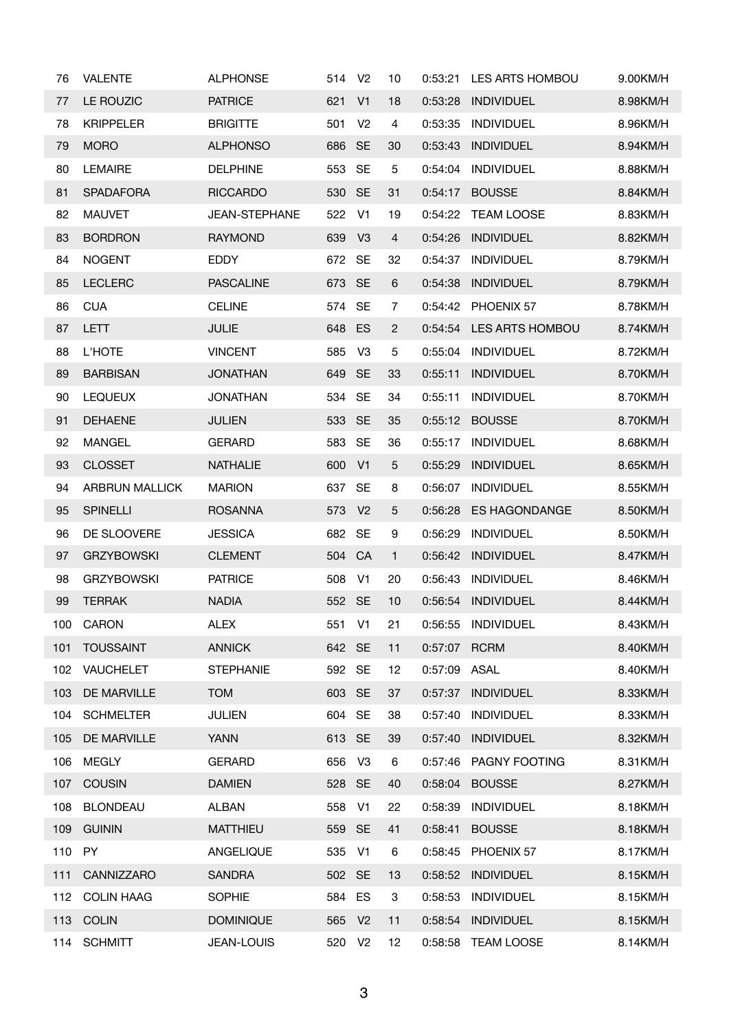| 76  | <b>VALENTE</b>        | <b>ALPHONSE</b>      | 514    | V <sub>2</sub> | 10             | 0:53:21      | LES ARTS HOMBOU        | 9.00KM/H |
|-----|-----------------------|----------------------|--------|----------------|----------------|--------------|------------------------|----------|
| 77  | LE ROUZIC             | <b>PATRICE</b>       | 621    | V <sub>1</sub> | 18             | 0:53:28      | <b>INDIVIDUEL</b>      | 8.98KM/H |
| 78  | <b>KRIPPELER</b>      | <b>BRIGITTE</b>      | 501    | V <sub>2</sub> | 4              | 0:53:35      | <b>INDIVIDUEL</b>      | 8.96KM/H |
| 79  | <b>MORO</b>           | <b>ALPHONSO</b>      | 686    | <b>SE</b>      | 30             | 0:53:43      | <b>INDIVIDUEL</b>      | 8.94KM/H |
| 80  | <b>LEMAIRE</b>        | <b>DELPHINE</b>      | 553    | <b>SE</b>      | 5              | 0:54:04      | <b>INDIVIDUEL</b>      | 8.88KM/H |
| 81  | <b>SPADAFORA</b>      | <b>RICCARDO</b>      | 530    | <b>SE</b>      | 31             | 0:54:17      | <b>BOUSSE</b>          | 8.84KM/H |
| 82  | <b>MAUVET</b>         | <b>JEAN-STEPHANE</b> | 522    | V <sub>1</sub> | 19             | 0:54:22      | <b>TEAM LOOSE</b>      | 8.83KM/H |
| 83  | <b>BORDRON</b>        | <b>RAYMOND</b>       | 639    | V <sub>3</sub> | 4              | 0:54:26      | <b>INDIVIDUEL</b>      | 8.82KM/H |
| 84  | <b>NOGENT</b>         | <b>EDDY</b>          | 672    | <b>SE</b>      | 32             | 0:54:37      | <b>INDIVIDUEL</b>      | 8.79KM/H |
| 85  | <b>LECLERC</b>        | <b>PASCALINE</b>     | 673    | <b>SE</b>      | 6              | 0:54:38      | <b>INDIVIDUEL</b>      | 8.79KM/H |
| 86  | <b>CUA</b>            | <b>CELINE</b>        | 574    | <b>SE</b>      | $\overline{7}$ | 0:54:42      | PHOENIX 57             | 8.78KM/H |
| 87  | <b>LETT</b>           | <b>JULIE</b>         | 648 ES |                | $\overline{c}$ | 0:54:54      | <b>LES ARTS HOMBOU</b> | 8.74KM/H |
| 88  | <b>L'HOTE</b>         | <b>VINCENT</b>       | 585    | V <sub>3</sub> | 5              | 0:55:04      | <b>INDIVIDUEL</b>      | 8.72KM/H |
| 89  | <b>BARBISAN</b>       | <b>JONATHAN</b>      | 649    | <b>SE</b>      | 33             | 0:55:11      | <b>INDIVIDUEL</b>      | 8.70KM/H |
| 90  | <b>LEQUEUX</b>        | <b>JONATHAN</b>      | 534    | <b>SE</b>      | 34             | 0:55:11      | <b>INDIVIDUEL</b>      | 8.70KM/H |
| 91  | <b>DEHAENE</b>        | <b>JULIEN</b>        | 533    | <b>SE</b>      | 35             | 0:55:12      | <b>BOUSSE</b>          | 8.70KM/H |
| 92  | <b>MANGEL</b>         | <b>GERARD</b>        | 583    | <b>SE</b>      | 36             | 0:55:17      | <b>INDIVIDUEL</b>      | 8.68KM/H |
| 93  | <b>CLOSSET</b>        | <b>NATHALIE</b>      | 600    | V <sub>1</sub> | 5              | 0:55:29      | <b>INDIVIDUEL</b>      | 8.65KM/H |
| 94  | <b>ARBRUN MALLICK</b> | <b>MARION</b>        | 637    | <b>SE</b>      | 8              | 0:56:07      | <b>INDIVIDUEL</b>      | 8.55KM/H |
| 95  | <b>SPINELLI</b>       | <b>ROSANNA</b>       | 573    | V <sub>2</sub> | 5              | 0:56:28      | <b>ES HAGONDANGE</b>   | 8.50KM/H |
| 96  | DE SLOOVERE           | <b>JESSICA</b>       | 682 SE |                | 9              | 0:56:29      | <b>INDIVIDUEL</b>      | 8.50KM/H |
| 97  | <b>GRZYBOWSKI</b>     | <b>CLEMENT</b>       | 504    | CA             | $\mathbf{1}$   | 0:56:42      | <b>INDIVIDUEL</b>      | 8.47KM/H |
| 98  | <b>GRZYBOWSKI</b>     | <b>PATRICE</b>       | 508    | V <sub>1</sub> | 20             | 0:56:43      | <b>INDIVIDUEL</b>      | 8.46KM/H |
| 99  | <b>TERRAK</b>         | <b>NADIA</b>         | 552 SE |                | 10             | 0:56:54      | <b>INDIVIDUEL</b>      | 8.44KM/H |
| 100 | CARON                 | <b>ALEX</b>          | 551    | V <sub>1</sub> | 21             | 0:56:55      | INDIVIDUEL             | 8.43KM/H |
| 101 | <b>TOUSSAINT</b>      | <b>ANNICK</b>        | 642 SE |                | 11             | 0:57:07 RCRM |                        | 8.40KM/H |
| 102 | VAUCHELET             | <b>STEPHANIE</b>     | 592    | <b>SE</b>      | 12             | 0:57:09      | ASAL                   | 8.40KM/H |
| 103 | DE MARVILLE           | <b>TOM</b>           | 603    | <b>SE</b>      | 37             | 0:57:37      | <b>INDIVIDUEL</b>      | 8.33KM/H |
| 104 | <b>SCHMELTER</b>      | <b>JULIEN</b>        | 604    | <b>SE</b>      | 38             | 0:57:40      | <b>INDIVIDUEL</b>      | 8.33KM/H |
| 105 | <b>DE MARVILLE</b>    | <b>YANN</b>          | 613 SE |                | 39             | 0:57:40      | <b>INDIVIDUEL</b>      | 8.32KM/H |
| 106 | <b>MEGLY</b>          | <b>GERARD</b>        | 656    | V <sub>3</sub> | 6              | 0:57:46      | PAGNY FOOTING          | 8.31KM/H |
| 107 | <b>COUSIN</b>         | <b>DAMIEN</b>        | 528 SE |                | 40             | 0:58:04      | <b>BOUSSE</b>          | 8.27KM/H |
| 108 | <b>BLONDEAU</b>       | <b>ALBAN</b>         | 558    | V <sub>1</sub> | 22             | 0:58:39      | <b>INDIVIDUEL</b>      | 8.18KM/H |
| 109 | <b>GUININ</b>         | <b>MATTHIEU</b>      | 559    | <b>SE</b>      | 41             | 0:58:41      | <b>BOUSSE</b>          | 8.18KM/H |
| 110 | <b>PY</b>             | ANGELIQUE            | 535    | V <sub>1</sub> | 6              | 0:58:45      | PHOENIX 57             | 8.17KM/H |
| 111 | CANNIZZARO            | <b>SANDRA</b>        | 502    | <b>SE</b>      | 13             | 0:58:52      | <b>INDIVIDUEL</b>      | 8.15KM/H |
| 112 | <b>COLIN HAAG</b>     | <b>SOPHIE</b>        | 584    | ES             | 3              | 0:58:53      | <b>INDIVIDUEL</b>      | 8.15KM/H |
| 113 | <b>COLIN</b>          | <b>DOMINIQUE</b>     | 565    | V <sub>2</sub> | 11             | 0:58:54      | <b>INDIVIDUEL</b>      | 8.15KM/H |
| 114 | <b>SCHMITT</b>        | <b>JEAN-LOUIS</b>    | 520 V2 |                | 12             | 0:58:58      | <b>TEAM LOOSE</b>      | 8.14KM/H |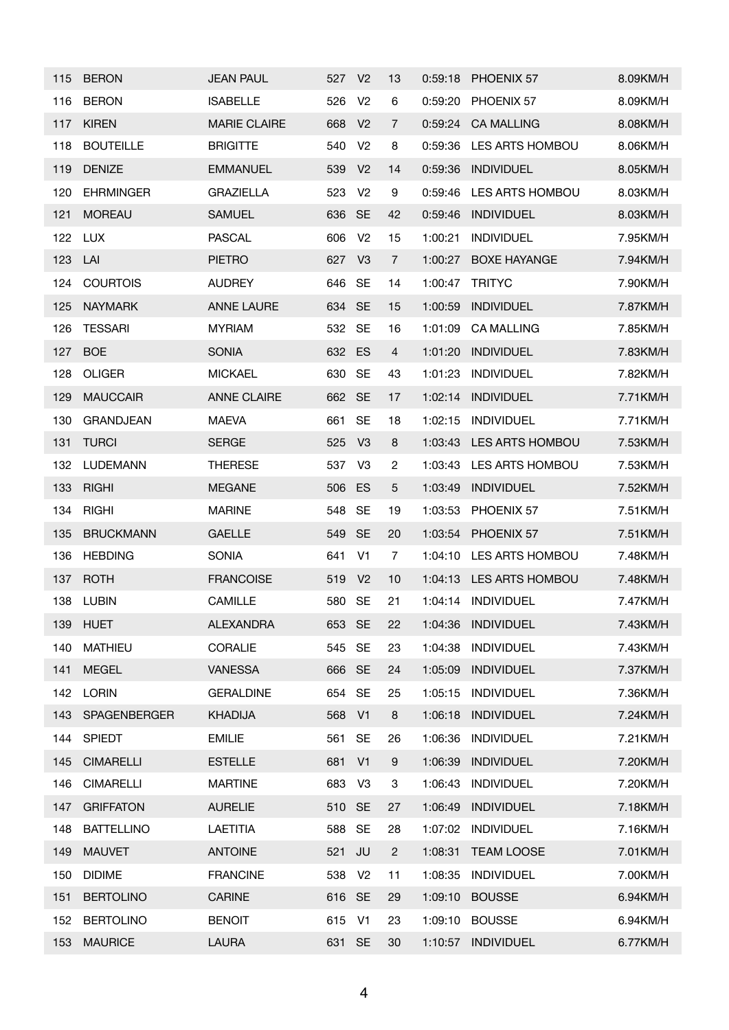| 115 | <b>BERON</b>      | <b>JEAN PAUL</b>    | 527    | V <sub>2</sub> | 13               | 0:59:18 | PHOENIX 57             | 8.09KM/H |
|-----|-------------------|---------------------|--------|----------------|------------------|---------|------------------------|----------|
| 116 | <b>BERON</b>      | <b>ISABELLE</b>     | 526    | V <sub>2</sub> | 6                | 0:59:20 | PHOENIX 57             | 8.09KM/H |
| 117 | <b>KIREN</b>      | <b>MARIE CLAIRE</b> | 668    | V <sub>2</sub> | $\overline{7}$   | 0:59:24 | <b>CA MALLING</b>      | 8.08KM/H |
| 118 | <b>BOUTEILLE</b>  | <b>BRIGITTE</b>     | 540    | V <sub>2</sub> | 8                | 0:59:36 | LES ARTS HOMBOU        | 8.06KM/H |
| 119 | <b>DENIZE</b>     | <b>EMMANUEL</b>     | 539    | V <sub>2</sub> | 14               | 0:59:36 | <b>INDIVIDUEL</b>      | 8.05KM/H |
| 120 | <b>EHRMINGER</b>  | <b>GRAZIELLA</b>    | 523    | V <sub>2</sub> | 9                | 0:59:46 | <b>LES ARTS HOMBOU</b> | 8.03KM/H |
| 121 | <b>MOREAU</b>     | <b>SAMUEL</b>       | 636    | <b>SE</b>      | 42               | 0:59:46 | <b>INDIVIDUEL</b>      | 8.03KM/H |
| 122 | <b>LUX</b>        | <b>PASCAL</b>       | 606    | V <sub>2</sub> | 15               | 1:00:21 | <b>INDIVIDUEL</b>      | 7.95KM/H |
| 123 | LAI               | <b>PIETRO</b>       | 627    | V <sub>3</sub> | $\overline{7}$   | 1:00:27 | <b>BOXE HAYANGE</b>    | 7.94KM/H |
| 124 | <b>COURTOIS</b>   | <b>AUDREY</b>       | 646    | <b>SE</b>      | 14               | 1:00:47 | <b>TRITYC</b>          | 7.90KM/H |
| 125 | <b>NAYMARK</b>    | <b>ANNE LAURE</b>   | 634    | <b>SE</b>      | 15               | 1:00:59 | <b>INDIVIDUEL</b>      | 7.87KM/H |
| 126 | <b>TESSARI</b>    | <b>MYRIAM</b>       | 532    | <b>SE</b>      | 16               | 1:01:09 | <b>CA MALLING</b>      | 7.85KM/H |
| 127 | <b>BOE</b>        | <b>SONIA</b>        | 632    | ES             | 4                | 1:01:20 | <b>INDIVIDUEL</b>      | 7.83KM/H |
| 128 | <b>OLIGER</b>     | <b>MICKAEL</b>      | 630    | <b>SE</b>      | 43               | 1:01:23 | <b>INDIVIDUEL</b>      | 7.82KM/H |
| 129 | <b>MAUCCAIR</b>   | <b>ANNE CLAIRE</b>  | 662 SE |                | 17               | 1:02:14 | <b>INDIVIDUEL</b>      | 7.71KM/H |
| 130 | <b>GRANDJEAN</b>  | <b>MAEVA</b>        | 661    | <b>SE</b>      | 18               | 1:02:15 | <b>INDIVIDUEL</b>      | 7.71KM/H |
| 131 | <b>TURCI</b>      | <b>SERGE</b>        | 525    | V <sub>3</sub> | 8                | 1:03:43 | LES ARTS HOMBOU        | 7.53KM/H |
| 132 | <b>LUDEMANN</b>   | <b>THERESE</b>      | 537    | V <sub>3</sub> | $\overline{c}$   | 1:03:43 | LES ARTS HOMBOU        | 7.53KM/H |
| 133 | <b>RIGHI</b>      | <b>MEGANE</b>       | 506    | ES             | $\sqrt{5}$       | 1:03:49 | <b>INDIVIDUEL</b>      | 7.52KM/H |
| 134 | <b>RIGHI</b>      | <b>MARINE</b>       | 548    | <b>SE</b>      | 19               | 1:03:53 | PHOENIX 57             | 7.51KM/H |
| 135 | <b>BRUCKMANN</b>  | <b>GAELLE</b>       | 549    | <b>SE</b>      | 20               | 1:03:54 | PHOENIX 57             | 7.51KM/H |
| 136 | <b>HEBDING</b>    | <b>SONIA</b>        | 641    | V <sub>1</sub> | 7                | 1:04:10 | LES ARTS HOMBOU        | 7.48KM/H |
| 137 | <b>ROTH</b>       | <b>FRANCOISE</b>    | 519    | V <sub>2</sub> | 10               | 1:04:13 | LES ARTS HOMBOU        | 7.48KM/H |
| 138 | <b>LUBIN</b>      | <b>CAMILLE</b>      | 580    | <b>SE</b>      | 21               | 1:04:14 | <b>INDIVIDUEL</b>      | 7.47KM/H |
| 139 | <b>HUET</b>       | <b>ALEXANDRA</b>    | 653 SE |                | 22               | 1:04:36 | <b>INDIVIDUEL</b>      | 7.43KM/H |
| 140 | <b>MATHIEU</b>    | CORALIE             | 545    | <b>SE</b>      | 23               | 1:04:38 | <b>INDIVIDUEL</b>      | 7.43KM/H |
| 141 | <b>MEGEL</b>      | <b>VANESSA</b>      | 666 SE |                | 24               | 1:05:09 | <b>INDIVIDUEL</b>      | 7.37KM/H |
| 142 | <b>LORIN</b>      | <b>GERALDINE</b>    | 654    | <b>SE</b>      | 25               | 1:05:15 | <b>INDIVIDUEL</b>      | 7.36KM/H |
| 143 | SPAGENBERGER      | <b>KHADIJA</b>      | 568 V1 |                | 8                | 1:06:18 | <b>INDIVIDUEL</b>      | 7.24KM/H |
| 144 | <b>SPIEDT</b>     | <b>EMILIE</b>       | 561    | <b>SE</b>      | 26               | 1:06:36 | <b>INDIVIDUEL</b>      | 7.21KM/H |
| 145 | <b>CIMARELLI</b>  | <b>ESTELLE</b>      | 681    | V <sub>1</sub> | $\boldsymbol{9}$ | 1:06:39 | <b>INDIVIDUEL</b>      | 7.20KM/H |
| 146 | <b>CIMARELLI</b>  | <b>MARTINE</b>      | 683    | V <sub>3</sub> | 3                | 1:06:43 | <b>INDIVIDUEL</b>      | 7.20KM/H |
| 147 | <b>GRIFFATON</b>  | <b>AURELIE</b>      | 510    | <b>SE</b>      | 27               | 1:06:49 | <b>INDIVIDUEL</b>      | 7.18KM/H |
| 148 | <b>BATTELLINO</b> | <b>LAETITIA</b>     | 588    | <b>SE</b>      | 28               | 1:07:02 | <b>INDIVIDUEL</b>      | 7.16KM/H |
| 149 | <b>MAUVET</b>     | <b>ANTOINE</b>      | 521    | <b>JU</b>      | $\overline{2}$   | 1:08:31 | <b>TEAM LOOSE</b>      | 7.01KM/H |
| 150 | <b>DIDIME</b>     | <b>FRANCINE</b>     | 538    | V <sub>2</sub> | 11               | 1:08:35 | <b>INDIVIDUEL</b>      | 7.00KM/H |
| 151 | <b>BERTOLINO</b>  | <b>CARINE</b>       | 616 SE |                | 29               | 1:09:10 | <b>BOUSSE</b>          | 6.94KM/H |
| 152 | <b>BERTOLINO</b>  | <b>BENOIT</b>       | 615    | V <sub>1</sub> | 23               | 1:09:10 | <b>BOUSSE</b>          | 6.94KM/H |
| 153 | <b>MAURICE</b>    | <b>LAURA</b>        | 631 SE |                | 30               | 1:10:57 | <b>INDIVIDUEL</b>      | 6.77KM/H |